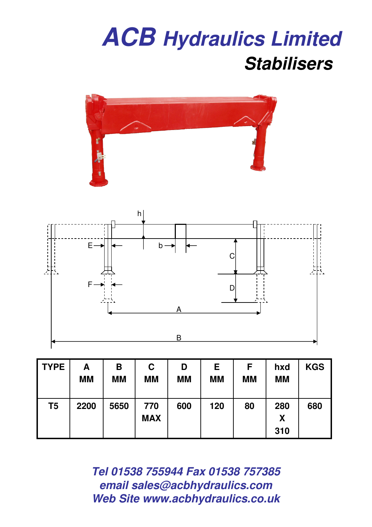



| <b>TYPE</b> | Α<br><b>MM</b> | Β<br><b>MM</b> | C<br><b>MM</b>    | D<br><b>MM</b> | E<br><b>MM</b> | F<br><b>MM</b> | hxd<br><b>MM</b> | <b>KGS</b> |
|-------------|----------------|----------------|-------------------|----------------|----------------|----------------|------------------|------------|
| T5          | 2200           | 5650           | 770<br><b>MAX</b> | 600            | 120            | 80             | 280<br>X<br>310  | 680        |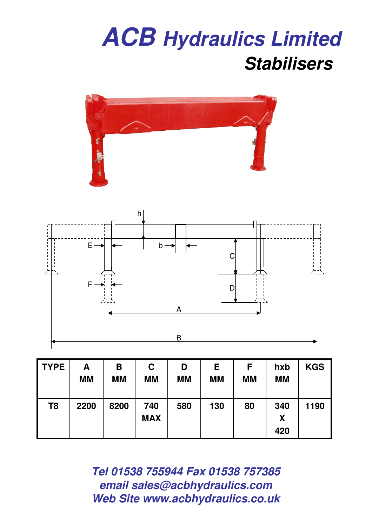



| <b>TYPE</b> | Α<br><b>MM</b> | Β<br><b>MM</b> | C<br><b>MM</b>    | D<br><b>MM</b> | E<br><b>MM</b> | F<br><b>MM</b> | hxb<br><b>MM</b> | <b>KGS</b> |
|-------------|----------------|----------------|-------------------|----------------|----------------|----------------|------------------|------------|
| T8          | 2200           | 8200           | 740<br><b>MAX</b> | 580            | 130            | 80             | 340<br>X<br>420  | 1190       |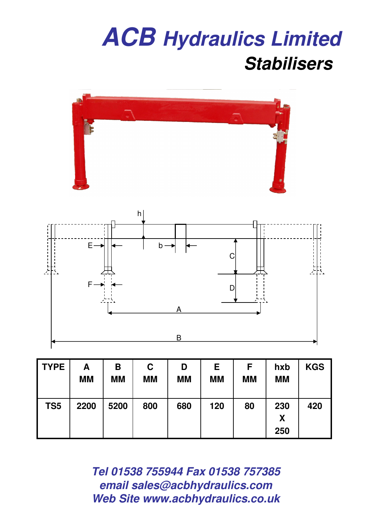

| <b>TYPE</b>     | Α<br><b>MM</b> | В<br><b>MM</b> | C<br><b>MM</b> | D<br><b>MM</b> | E<br><b>MM</b> | F<br><b>MM</b> | hxb<br><b>MM</b> | <b>KGS</b> |
|-----------------|----------------|----------------|----------------|----------------|----------------|----------------|------------------|------------|
| TS <sub>5</sub> | 2200           | 5200           | 800            | 680            | 120            | 80             | 230<br>X<br>250  | 420        |